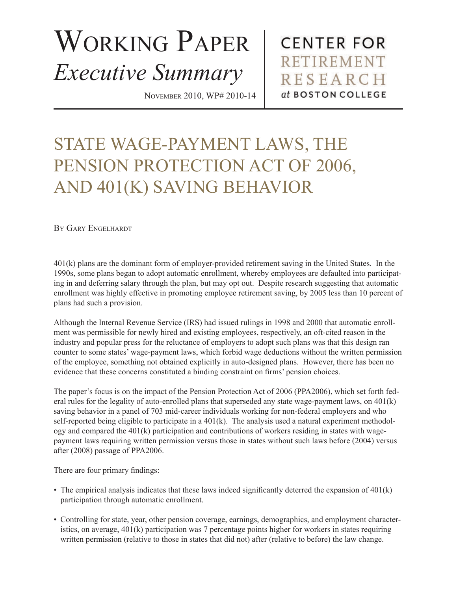## WORKING PAPER *Executive Summary*

November 2010, WP# 2010-14

**CENTER FOR** RETIREMENT **RESEARCH** at BOSTON COLLEGE

## STATE WAGE-PAYMENT LAWS, THE PENSION PROTECTION ACT OF 2006, AND 401(K) SAVING BEHAVIOR

By Gary Engelhardt

401(k) plans are the dominant form of employer-provided retirement saving in the United States. In the 1990s, some plans began to adopt automatic enrollment, whereby employees are defaulted into participating in and deferring salary through the plan, but may opt out. Despite research suggesting that automatic enrollment was highly effective in promoting employee retirement saving, by 2005 less than 10 percent of plans had such a provision.

Although the Internal Revenue Service (IRS) had issued rulings in 1998 and 2000 that automatic enrollment was permissible for newly hired and existing employees, respectively, an oft-cited reason in the industry and popular press for the reluctance of employers to adopt such plans was that this design ran counter to some states' wage-payment laws, which forbid wage deductions without the written permission of the employee, something not obtained explicitly in auto-designed plans. However, there has been no evidence that these concerns constituted a binding constraint on firms' pension choices.

The paper's focus is on the impact of the Pension Protection Act of 2006 (PPA2006), which set forth federal rules for the legality of auto-enrolled plans that superseded any state wage-payment laws, on 401(k) saving behavior in a panel of 703 mid-career individuals working for non-federal employers and who self-reported being eligible to participate in a  $401(k)$ . The analysis used a natural experiment methodology and compared the 401(k) participation and contributions of workers residing in states with wagepayment laws requiring written permission versus those in states without such laws before (2004) versus after (2008) passage of PPA2006.

There are four primary findings:

- The empirical analysis indicates that these laws indeed significantly deterred the expansion of 401(k) participation through automatic enrollment.
- Controlling for state, year, other pension coverage, earnings, demographics, and employment characteristics, on average, 401(k) participation was 7 percentage points higher for workers in states requiring written permission (relative to those in states that did not) after (relative to before) the law change.